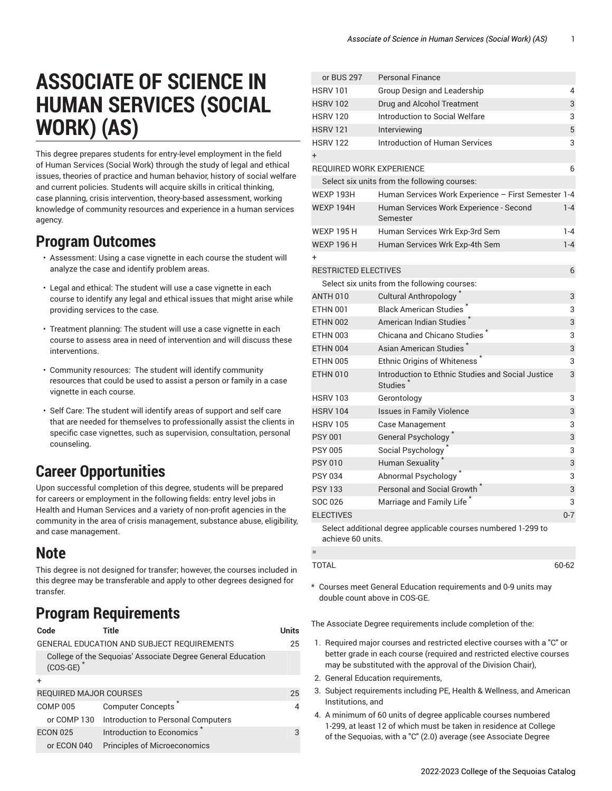# **ASSOCIATE OF SCIENCE IN HUMAN SERVICES (SOCIAL WORK) (AS)**

This degree prepares students for entry-level employment in the field of Human Services (Social Work) through the study of legal and ethical issues, theories of practice and human behavior, history of social welfare and current policies. Students will acquire skills in critical thinking, case planning, crisis intervention, theory-based assessment, working knowledge of community resources and experience in a human services agency.

#### **Program Outcomes**

- Assessment: Using a case vignette in each course the student will analyze the case and identify problem areas.
- Legal and ethical: The student will use a case vignette in each course to identify any legal and ethical issues that might arise while providing services to the case.
- Treatment planning: The student will use a case vignette in each course to assess area in need of intervention and will discuss these interventions.
- Community resources: The student will identify community resources that could be used to assist a person or family in a case vignette in each course.
- Self Care: The student will identify areas of support and self care that are needed for themselves to professionally assist the clients in specific case vignettes, such as supervision, consultation, personal counseling.

### **Career Opportunities**

Upon successful completion of this degree, students will be prepared for careers or employment in the following fields: entry level jobs in Health and Human Services and a variety of non-profit agencies in the community in the area of crisis management, substance abuse, eligibility, and case management.

#### **Note**

This degree is not designed for transfer; however, the courses included in this degree may be transferable and apply to other degrees designed for transfer.

## **Program Requirements**

| Code                                       | Title                                                       | Units          |
|--------------------------------------------|-------------------------------------------------------------|----------------|
| GENERAL EDUCATION AND SUBJECT REQUIREMENTS |                                                             |                |
| $(COS-GE)$                                 | College of the Seguoias' Associate Degree General Education |                |
|                                            |                                                             |                |
| REQUIRED MAJOR COURSES                     |                                                             |                |
| <b>COMP 005</b>                            | <b>Computer Concepts</b>                                    | $\overline{4}$ |
| or COMP 130                                | Introduction to Personal Computers                          |                |
| <b>ECON 025</b>                            | Introduction to Economics                                   | 3              |
| or ECON 040                                | <b>Principles of Microeconomics</b>                         |                |

| or BUS 297                      | <b>Personal Finance</b>                                                   |         |
|---------------------------------|---------------------------------------------------------------------------|---------|
| <b>HSRV 101</b>                 | Group Design and Leadership                                               | 4       |
| <b>HSRV 102</b>                 | Drug and Alcohol Treatment                                                | 3       |
| <b>HSRV 120</b>                 | Introduction to Social Welfare                                            | 3       |
| <b>HSRV 121</b>                 | Interviewing                                                              | 5       |
| <b>HSRV 122</b>                 | <b>Introduction of Human Services</b>                                     | 3       |
| $+$                             |                                                                           |         |
| <b>REQUIRED WORK EXPERIENCE</b> |                                                                           | 6       |
|                                 | Select six units from the following courses:                              |         |
| <b>WEXP 193H</b>                | Human Services Work Experience - First Semester 1-4                       |         |
| <b>WEXP 194H</b>                | Human Services Work Experience - Second<br>Semester                       | $1 - 4$ |
| <b>WEXP 195 H</b>               | Human Services Wrk Exp-3rd Sem                                            | $1 - 4$ |
| <b>WEXP 196 H</b>               | Human Services Wrk Exp-4th Sem                                            | $1 - 4$ |
| +                               |                                                                           |         |
| <b>RESTRICTED ELECTIVES</b>     |                                                                           | 6       |
|                                 | Select six units from the following courses:                              |         |
| <b>ANTH 010</b>                 | Cultural Anthropology <sup>*</sup>                                        | 3       |
| <b>ETHN 001</b>                 | <b>Black American Studies</b>                                             | 3       |
| <b>ETHN 002</b>                 | <b>American Indian Studies</b>                                            | 3       |
| <b>ETHN 003</b>                 | Chicana and Chicano Studies                                               | 3       |
| <b>ETHN 004</b>                 | Asian American Studies                                                    | 3       |
| <b>ETHN 005</b>                 | <b>Ethnic Origins of Whiteness</b>                                        | 3       |
| <b>ETHN 010</b>                 | Introduction to Ethnic Studies and Social Justice<br>Studies <sup>®</sup> | 3       |
| <b>HSRV 103</b>                 | Gerontology                                                               | 3       |
| <b>HSRV 104</b>                 | <b>Issues in Family Violence</b>                                          | 3       |
| <b>HSRV 105</b>                 | Case Management                                                           | 3       |
| <b>PSY 001</b>                  | General Psychology <sup>*</sup>                                           | 3       |
| <b>PSY 005</b>                  | Social Psychology                                                         | 3       |
| <b>PSY 010</b>                  | Human Sexuality                                                           | 3       |
| <b>PSY 034</b>                  | Abnormal Psychology                                                       | 3       |
| <b>PSY 133</b>                  | Personal and Social Growth                                                | 3       |
| SOC 026                         | Marriage and Family Life                                                  | 3       |
| <b>ELECTIVES</b>                |                                                                           | $0 - 7$ |
| achieve 60 units.               | Select additional degree applicable courses numbered 1-299 to             |         |
| $=$                             |                                                                           |         |
| <b>TOTAL</b>                    |                                                                           | 60-62   |

\* Courses meet General Education requirements and 0-9 units may double count above in COS-GE.

The Associate Degree requirements include completion of the:

- 1. Required major courses and restricted elective courses with a "C" or better grade in each course (required and restricted elective courses may be substituted with the approval of the Division Chair),
- 2. General Education requirements,
- 3. Subject requirements including PE, Health & Wellness, and American Institutions, and
- 4. A minimum of 60 units of degree applicable courses numbered 1-299, at least 12 of which must be taken in residence at College of the Sequoias, with a "C" (2.0) average (see [Associate](https://catalog.cos.edu/associate-degree-requirements/) Degree

2022-2023 College of the Sequoias Catalog